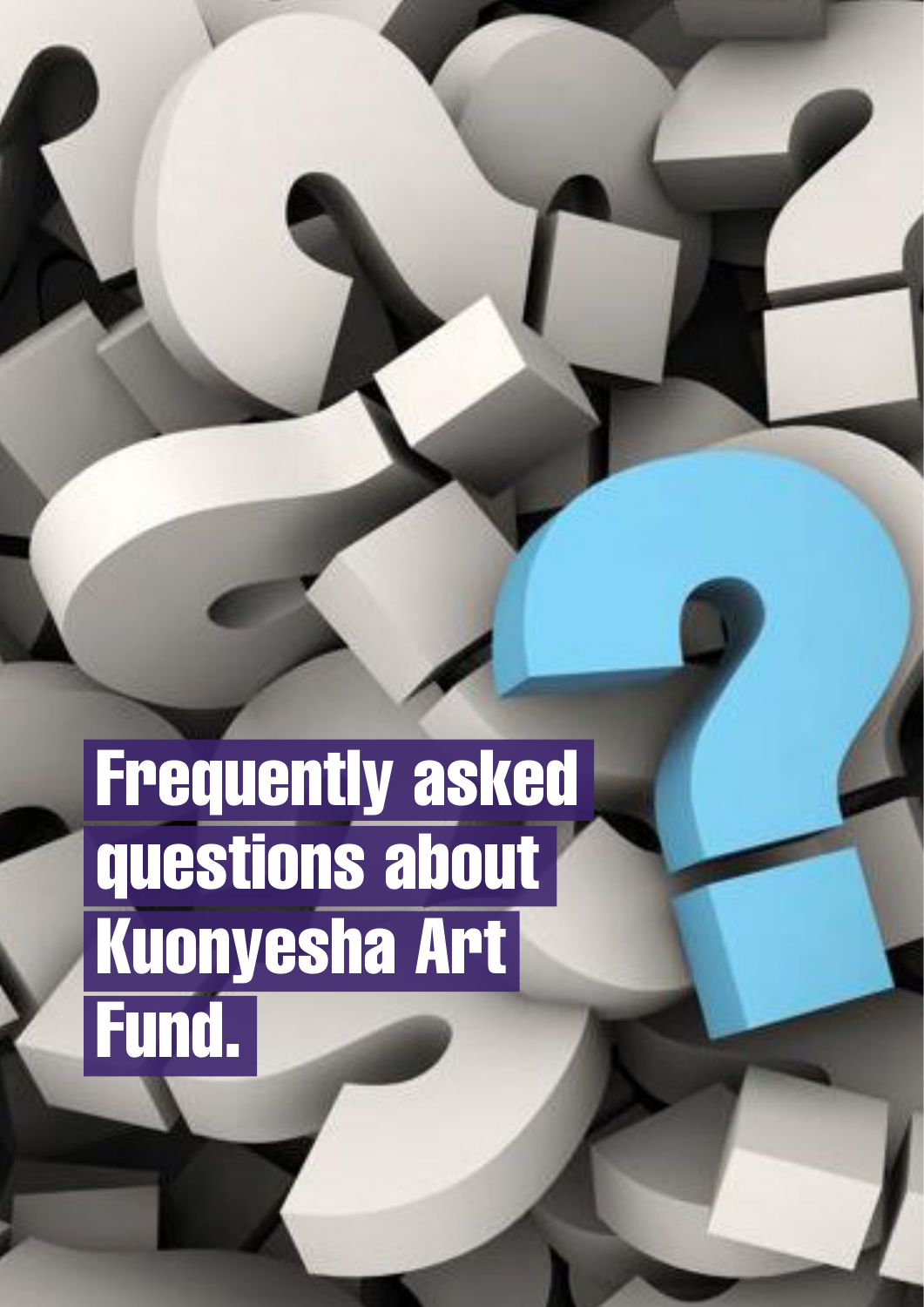# Frequently asked questions about Kuonyesha Art Fund.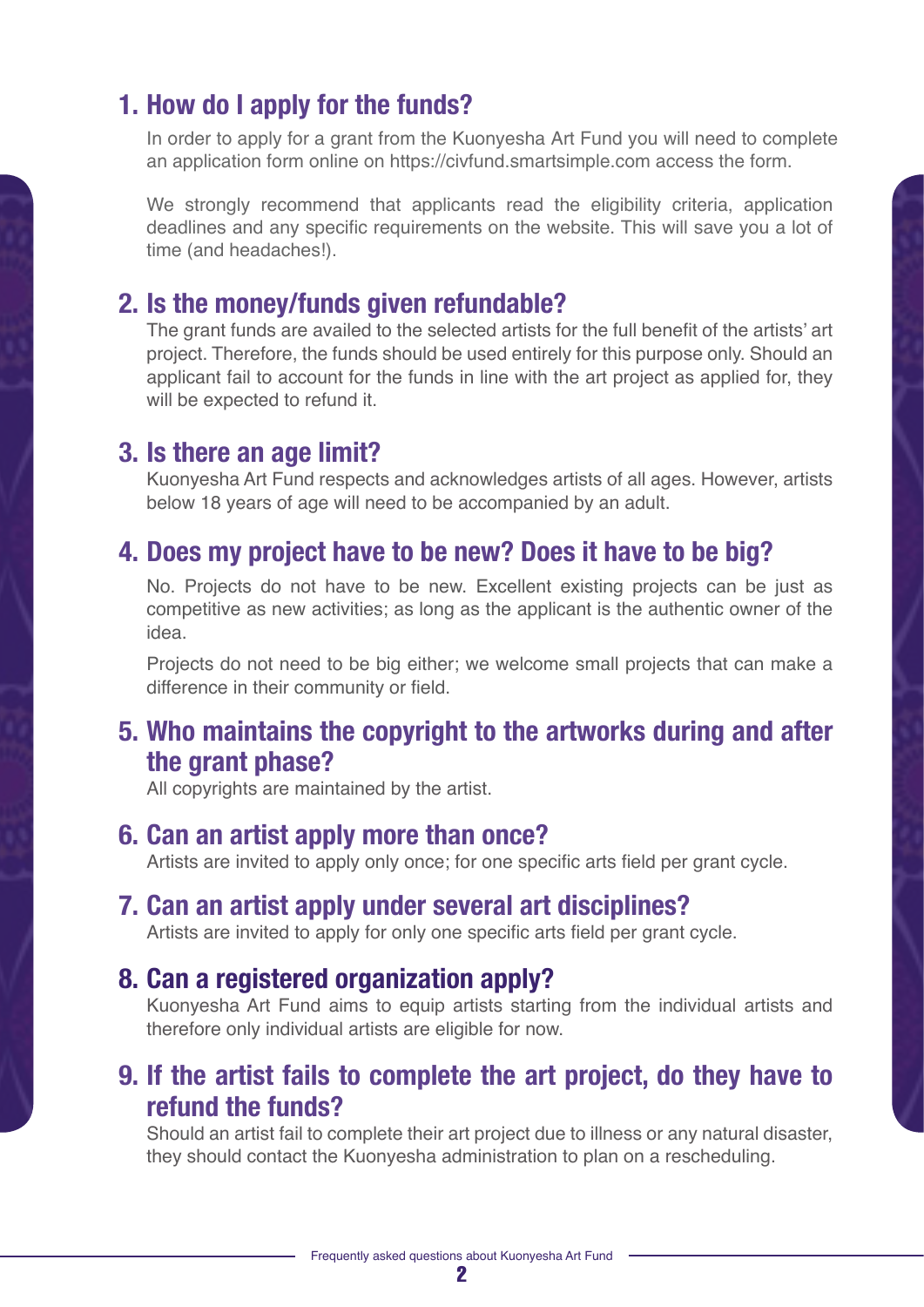# **1. How do I apply for the funds?**

In order to apply for a grant from the Kuonyesha Art Fund you will need to complete an application form online on https://civfund.smartsimple.com access the form.

We strongly recommend that applicants read the eligibility criteria, application deadlines and any specific requirements on the website. This will save you a lot of time (and headaches!).

#### **2. Is the money/funds given refundable?**

The grant funds are availed to the selected artists for the full benefit of the artists' art project. Therefore, the funds should be used entirely for this purpose only. Should an applicant fail to account for the funds in line with the art project as applied for, they will be expected to refund it.

#### **3. Is there an age limit?**

Kuonyesha Art Fund respects and acknowledges artists of all ages. However, artists below 18 years of age will need to be accompanied by an adult.

# **4. Does my project have to be new? Does it have to be big?**

No. Projects do not have to be new. Excellent existing projects can be just as competitive as new activities; as long as the applicant is the authentic owner of the idea.

Projects do not need to be big either; we welcome small projects that can make a difference in their community or field.

### **5. Who maintains the copyright to the artworks during and after the grant phase?**

All copyrights are maintained by the artist.

#### **6. Can an artist apply more than once?**

Artists are invited to apply only once; for one specific arts field per grant cycle.

# **7. Can an artist apply under several art disciplines?**

Artists are invited to apply for only one specific arts field per grant cycle.

#### **8. Can a registered organization apply?**

Kuonyesha Art Fund aims to equip artists starting from the individual artists and therefore only individual artists are eligible for now.

# **9. If the artist fails to complete the art project, do they have to refund the funds?**

Should an artist fail to complete their art project due to illness or any natural disaster, they should contact the Kuonyesha administration to plan on a rescheduling.